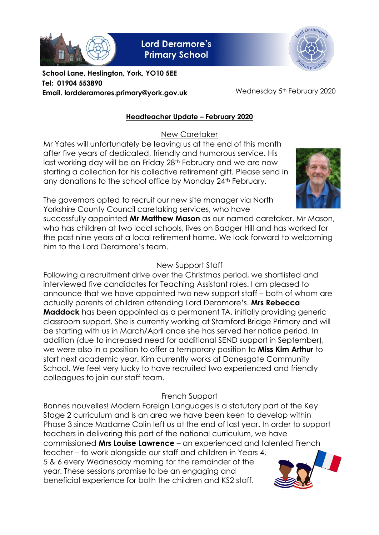

**Lord Deramore's Primary School** 



**School Lane, Heslington, York, YO10 5EE Tel: 01904 553890 Email. lordderamores.primary@york.gov.uk**

Wednesday 5<sup>th</sup> February 2020

## **Headteacher Update – February 2020**

New Caretaker

Mr Yates will unfortunately be leaving us at the end of this month after five years of dedicated, friendly and humorous service. His last working day will be on Friday 28<sup>th</sup> February and we are now starting a collection for his collective retirement gift. Please send in any donations to the school office by Monday 24<sup>th</sup> February.



The governors opted to recruit our new site manager via North Yorkshire County Council caretaking services, who have

successfully appointed **Mr Matthew Mason** as our named caretaker. Mr Mason, who has children at two local schools, lives on Badger Hill and has worked for the past nine years at a local retirement home. We look forward to welcoming him to the Lord Deramore's team.

## New Support Staff

Following a recruitment drive over the Christmas period, we shortlisted and interviewed five candidates for Teaching Assistant roles. I am pleased to announce that we have appointed two new support staff – both of whom are actually parents of children attending Lord Deramore's. **Mrs Rebecca Maddock** has been appointed as a permanent TA, initially providing generic classroom support. She is currently working at Stamford Bridge Primary and will be starting with us in March/April once she has served her notice period. In addition (due to increased need for additional SEND support in September), we were also in a position to offer a temporary position to **Miss Kim Arthur** to start next academic year. Kim currently works at Danesgate Community School. We feel very lucky to have recruited two experienced and friendly colleagues to join our staff team.

# French Support

Bonnes nouvelles! Modern Foreign Languages is a statutory part of the Key Stage 2 curriculum and is an area we have been keen to develop within Phase 3 since Madame Colin left us at the end of last year. In order to support teachers in delivering this part of the national curriculum, we have commissioned **Mrs Louise Lawrence** – an experienced and talented French teacher – to work alongside our staff and children in Years 4, 5 & 6 every Wednesday morning for the remainder of the year. These sessions promise to be an engaging and beneficial experience for both the children and KS2 staff.